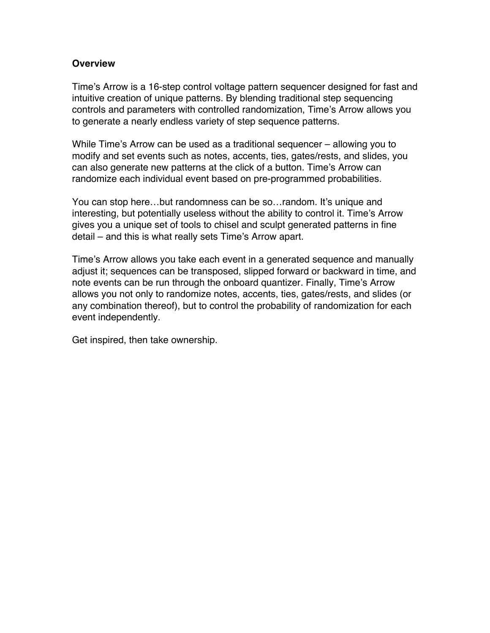### **Overview**

Time's Arrow is a 16-step control voltage pattern sequencer designed for fast and intuitive creation of unique patterns. By blending traditional step sequencing controls and parameters with controlled randomization, Time's Arrow allows you to generate a nearly endless variety of step sequence patterns.

While Time's Arrow can be used as a traditional sequencer – allowing you to modify and set events such as notes, accents, ties, gates/rests, and slides, you can also generate new patterns at the click of a button. Time's Arrow can randomize each individual event based on pre-programmed probabilities.

You can stop here…but randomness can be so…random. It's unique and interesting, but potentially useless without the ability to control it. Time's Arrow gives you a unique set of tools to chisel and sculpt generated patterns in fine detail – and this is what really sets Time's Arrow apart.

Time's Arrow allows you take each event in a generated sequence and manually adjust it; sequences can be transposed, slipped forward or backward in time, and note events can be run through the onboard quantizer. Finally, Time's Arrow allows you not only to randomize notes, accents, ties, gates/rests, and slides (or any combination thereof), but to control the probability of randomization for each event independently.

Get inspired, then take ownership.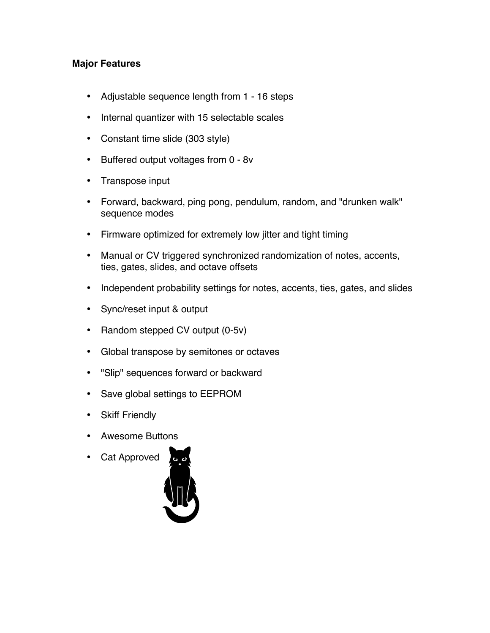## **Major Features**

- Adjustable sequence length from 1 16 steps
- Internal quantizer with 15 selectable scales
- Constant time slide (303 style)
- Buffered output voltages from 0 8v
- Transpose input
- Forward, backward, ping pong, pendulum, random, and "drunken walk" sequence modes
- Firmware optimized for extremely low jitter and tight timing
- Manual or CV triggered synchronized randomization of notes, accents, ties, gates, slides, and octave offsets
- Independent probability settings for notes, accents, ties, gates, and slides
- Sync/reset input & output
- Random stepped CV output (0-5v)
- Global transpose by semitones or octaves
- "Slip" sequences forward or backward
- Save global settings to EEPROM
- Skiff Friendly
- Awesome Buttons
- Cat Approved

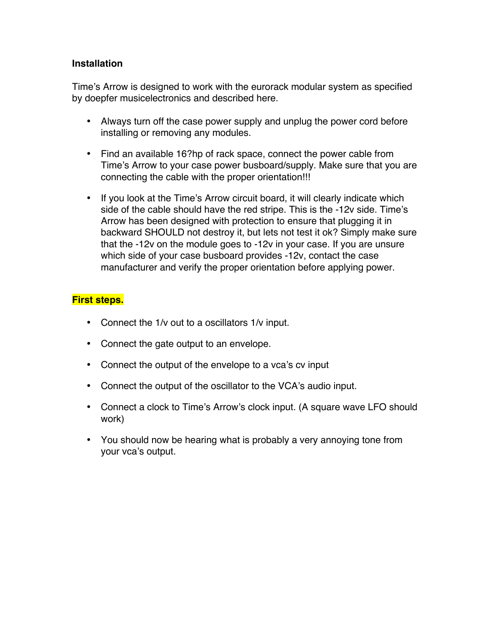### **Installation**

Time's Arrow is designed to work with the eurorack modular system as specified by doepfer musicelectronics and described here.

- Always turn off the case power supply and unplug the power cord before installing or removing any modules.
- Find an available 16?hp of rack space, connect the power cable from Time's Arrow to your case power busboard/supply. Make sure that you are connecting the cable with the proper orientation!!!
- If you look at the Time's Arrow circuit board, it will clearly indicate which side of the cable should have the red stripe. This is the -12v side. Time's Arrow has been designed with protection to ensure that plugging it in backward SHOULD not destroy it, but lets not test it ok? Simply make sure that the -12v on the module goes to -12v in your case. If you are unsure which side of your case busboard provides -12v, contact the case manufacturer and verify the proper orientation before applying power.

## **First steps.**

- Connect the 1/v out to a oscillators 1/v input.
- Connect the gate output to an envelope.
- Connect the output of the envelope to a vca's cv input
- Connect the output of the oscillator to the VCA's audio input.
- Connect a clock to Time's Arrow's clock input. (A square wave LFO should work)
- You should now be hearing what is probably a very annoying tone from your vca's output.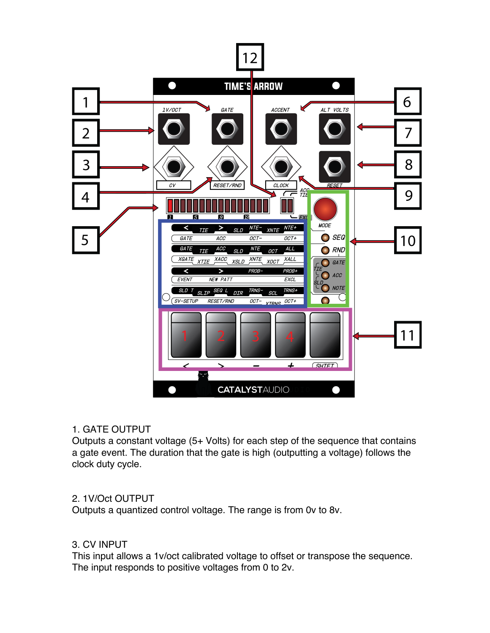

#### 1. GATE OUTPUT

Outputs a constant voltage (5+ Volts) for each step of the sequence that contains a gate event. The duration that the gate is high (outputting a voltage) follows the clock duty cycle.

## 2. 1V/Oct OUTPUT

Outputs a quantized control voltage. The range is from 0v to 8v.

## 3. CV INPUT

This input allows a 1v/oct calibrated voltage to offset or transpose the sequence. The input responds to positive voltages from 0 to 2v.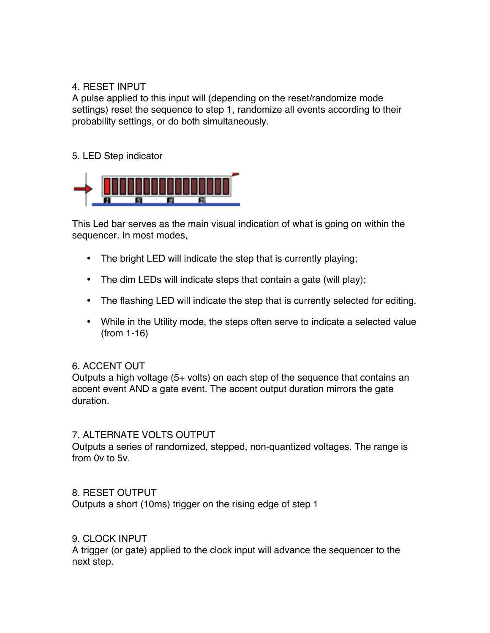### 4. RESET INPUT

A pulse applied to this input will (depending on the reset/randomize mode settings) reset the sequence to step 1, randomize all events according to their probability settings, or do both simultaneously.

### 5. LED Step indicator



This Led bar serves as the main visual indication of what is going on within the sequencer. In most modes,

- The bright LED will indicate the step that is currently playing;
- The dim LEDs will indicate steps that contain a gate (will play);
- The flashing LED will indicate the step that is currently selected for editing.
- While in the Utility mode, the steps often serve to indicate a selected value (from 1-16)

#### 6. ACCENT OUT

Outputs a high voltage (5+ volts) on each step of the sequence that contains an accent event AND a gate event. The accent output duration mirrors the gate duration.

#### 7. ALTERNATE VOLTS OUTPUT

Outputs a series of randomized, stepped, non-quantized voltages. The range is from 0v to 5v.

#### 8. RESET OUTPUT

Outputs a short (10ms) trigger on the rising edge of step 1

#### 9. CLOCK INPUT

A trigger (or gate) applied to the clock input will advance the sequencer to the next step.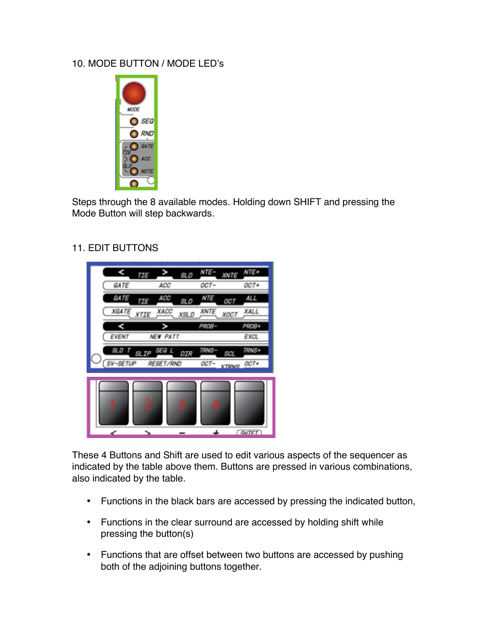## 10. MODE BUTTON / MODE LED's



Steps through the 8 available modes. Holding down SHIFT and pressing the Mode Button will step backwards.

## 11. EDIT BUTTONS



These 4 Buttons and Shift are used to edit various aspects of the sequencer as indicated by the table above them. Buttons are pressed in various combinations, also indicated by the table.

- Functions in the black bars are accessed by pressing the indicated button,
- Functions in the clear surround are accessed by holding shift while pressing the button(s)
- Functions that are offset between two buttons are accessed by pushing both of the adjoining buttons together.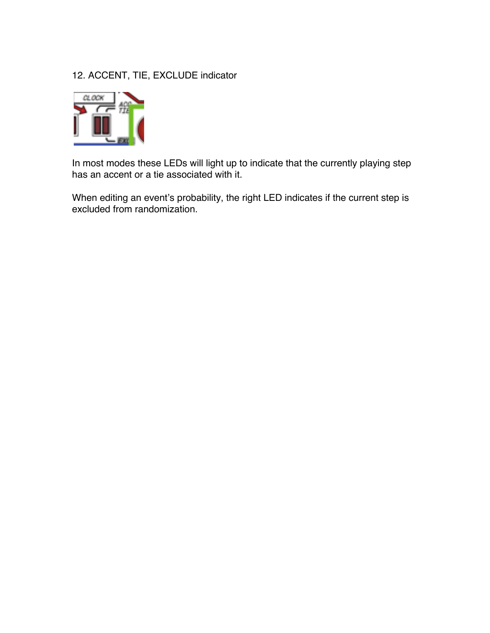## 12. ACCENT, TIE, EXCLUDE indicator



In most modes these LEDs will light up to indicate that the currently playing step has an accent or a tie associated with it.

When editing an event's probability, the right LED indicates if the current step is excluded from randomization.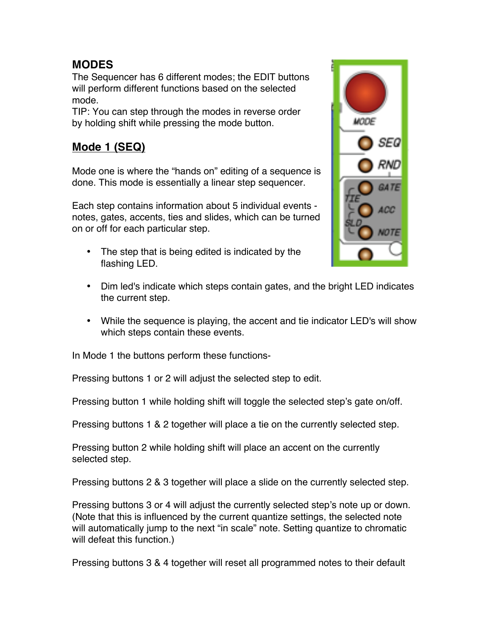# **MODES**

The Sequencer has 6 different modes; the EDIT buttons will perform different functions based on the selected mode.

TIP: You can step through the modes in reverse order by holding shift while pressing the mode button.

# **Mode 1 (SEQ)**

Mode one is where the "hands on" editing of a sequence is done. This mode is essentially a linear step sequencer.

Each step contains information about 5 individual events notes, gates, accents, ties and slides, which can be turned on or off for each particular step.

• The step that is being edited is indicated by the flashing LED.



- Dim led's indicate which steps contain gates, and the bright LED indicates the current step.
- While the sequence is playing, the accent and tie indicator LED's will show which steps contain these events.

In Mode 1 the buttons perform these functions-

Pressing buttons 1 or 2 will adjust the selected step to edit.

Pressing button 1 while holding shift will toggle the selected step's gate on/off.

Pressing buttons 1 & 2 together will place a tie on the currently selected step.

Pressing button 2 while holding shift will place an accent on the currently selected step.

Pressing buttons 2 & 3 together will place a slide on the currently selected step.

Pressing buttons 3 or 4 will adjust the currently selected step's note up or down. (Note that this is influenced by the current quantize settings, the selected note will automatically jump to the next "in scale" note. Setting quantize to chromatic will defeat this function.)

Pressing buttons 3 & 4 together will reset all programmed notes to their default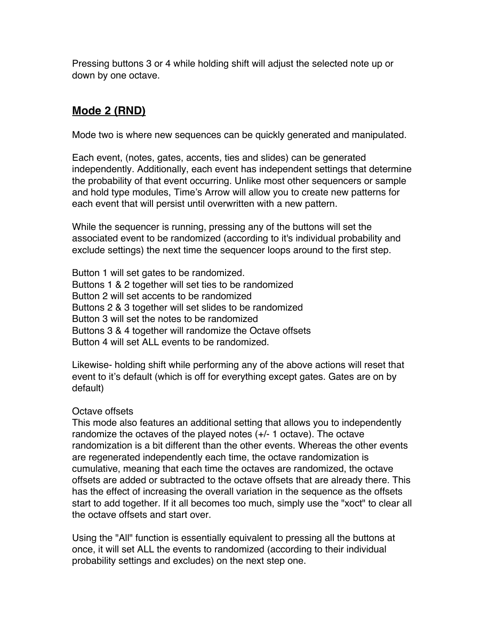Pressing buttons 3 or 4 while holding shift will adjust the selected note up or down by one octave.

# **Mode 2 (RND)**

Mode two is where new sequences can be quickly generated and manipulated.

Each event, (notes, gates, accents, ties and slides) can be generated independently. Additionally, each event has independent settings that determine the probability of that event occurring. Unlike most other sequencers or sample and hold type modules, Time's Arrow will allow you to create new patterns for each event that will persist until overwritten with a new pattern.

While the sequencer is running, pressing any of the buttons will set the associated event to be randomized (according to it's individual probability and exclude settings) the next time the sequencer loops around to the first step.

Button 1 will set gates to be randomized. Buttons 1 & 2 together will set ties to be randomized Button 2 will set accents to be randomized Buttons 2 & 3 together will set slides to be randomized Button 3 will set the notes to be randomized Buttons 3 & 4 together will randomize the Octave offsets Button 4 will set ALL events to be randomized.

Likewise- holding shift while performing any of the above actions will reset that event to it's default (which is off for everything except gates. Gates are on by default)

## Octave offsets

This mode also features an additional setting that allows you to independently randomize the octaves of the played notes (+/- 1 octave). The octave randomization is a bit different than the other events. Whereas the other events are regenerated independently each time, the octave randomization is cumulative, meaning that each time the octaves are randomized, the octave offsets are added or subtracted to the octave offsets that are already there. This has the effect of increasing the overall variation in the sequence as the offsets start to add together. If it all becomes too much, simply use the "xoct" to clear all the octave offsets and start over.

Using the "All" function is essentially equivalent to pressing all the buttons at once, it will set ALL the events to randomized (according to their individual probability settings and excludes) on the next step one.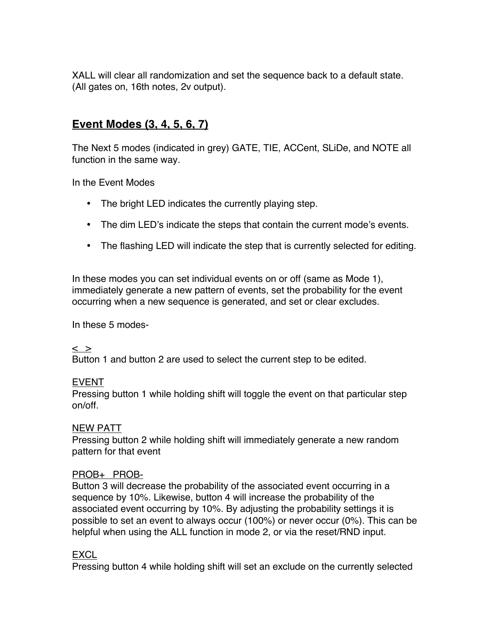XALL will clear all randomization and set the sequence back to a default state. (All gates on, 16th notes, 2v output).

# **Event Modes (3, 4, 5, 6, 7)**

The Next 5 modes (indicated in grey) GATE, TIE, ACCent, SLiDe, and NOTE all function in the same way.

In the Event Modes

- The bright LED indicates the currently playing step.
- The dim LED's indicate the steps that contain the current mode's events.
- The flashing LED will indicate the step that is currently selected for editing.

In these modes you can set individual events on or off (same as Mode 1), immediately generate a new pattern of events, set the probability for the event occurring when a new sequence is generated, and set or clear excludes.

In these 5 modes-

#### $\langle$   $>$

Button 1 and button 2 are used to select the current step to be edited.

#### EVENT

Pressing button 1 while holding shift will toggle the event on that particular step on/off.

#### NEW PATT

Pressing button 2 while holding shift will immediately generate a new random pattern for that event

#### PROB+ PROB-

Button 3 will decrease the probability of the associated event occurring in a sequence by 10%. Likewise, button 4 will increase the probability of the associated event occurring by 10%. By adjusting the probability settings it is possible to set an event to always occur (100%) or never occur (0%). This can be helpful when using the ALL function in mode 2, or via the reset/RND input.

## EXCL

Pressing button 4 while holding shift will set an exclude on the currently selected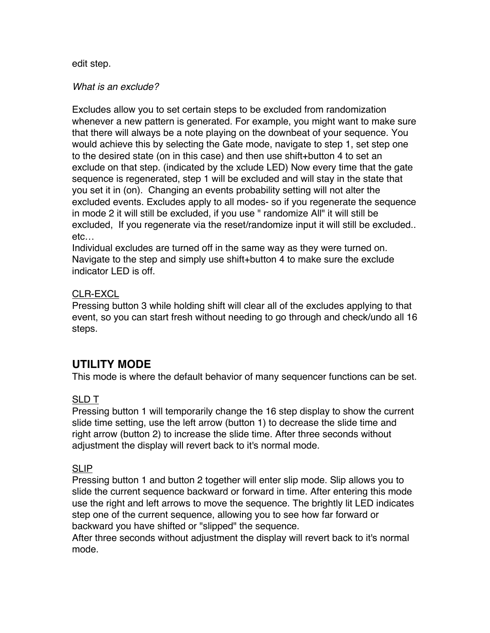#### edit step.

#### *What is an exclude?*

Excludes allow you to set certain steps to be excluded from randomization whenever a new pattern is generated. For example, you might want to make sure that there will always be a note playing on the downbeat of your sequence. You would achieve this by selecting the Gate mode, navigate to step 1, set step one to the desired state (on in this case) and then use shift+button 4 to set an exclude on that step. (indicated by the xclude LED) Now every time that the gate sequence is regenerated, step 1 will be excluded and will stay in the state that you set it in (on). Changing an events probability setting will not alter the excluded events. Excludes apply to all modes- so if you regenerate the sequence in mode 2 it will still be excluded, if you use " randomize All" it will still be excluded, If you regenerate via the reset/randomize input it will still be excluded.. etc…

Individual excludes are turned off in the same way as they were turned on. Navigate to the step and simply use shift+button 4 to make sure the exclude indicator LED is off.

### CLR-EXCL

Pressing button 3 while holding shift will clear all of the excludes applying to that event, so you can start fresh without needing to go through and check/undo all 16 steps.

# **UTILITY MODE**

This mode is where the default behavior of many sequencer functions can be set.

## SLD T

Pressing button 1 will temporarily change the 16 step display to show the current slide time setting, use the left arrow (button 1) to decrease the slide time and right arrow (button 2) to increase the slide time. After three seconds without adjustment the display will revert back to it's normal mode.

#### SLIP

Pressing button 1 and button 2 together will enter slip mode. Slip allows you to slide the current sequence backward or forward in time. After entering this mode use the right and left arrows to move the sequence. The brightly lit LED indicates step one of the current sequence, allowing you to see how far forward or backward you have shifted or "slipped" the sequence.

After three seconds without adjustment the display will revert back to it's normal mode.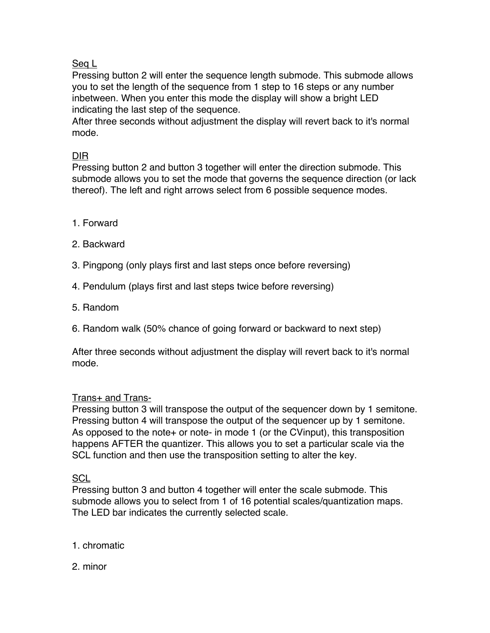## Seq L

Pressing button 2 will enter the sequence length submode. This submode allows you to set the length of the sequence from 1 step to 16 steps or any number inbetween. When you enter this mode the display will show a bright LED indicating the last step of the sequence.

After three seconds without adjustment the display will revert back to it's normal mode.

# DIR

Pressing button 2 and button 3 together will enter the direction submode. This submode allows you to set the mode that governs the sequence direction (or lack thereof). The left and right arrows select from 6 possible sequence modes.

- 1. Forward
- 2. Backward
- 3. Pingpong (only plays first and last steps once before reversing)
- 4. Pendulum (plays first and last steps twice before reversing)
- 5. Random
- 6. Random walk (50% chance of going forward or backward to next step)

After three seconds without adjustment the display will revert back to it's normal mode.

## Trans+ and Trans-

Pressing button 3 will transpose the output of the sequencer down by 1 semitone. Pressing button 4 will transpose the output of the sequencer up by 1 semitone. As opposed to the note+ or note- in mode 1 (or the CVinput), this transposition happens AFTER the quantizer. This allows you to set a particular scale via the SCL function and then use the transposition setting to alter the key.

## **SCL**

Pressing button 3 and button 4 together will enter the scale submode. This submode allows you to select from 1 of 16 potential scales/quantization maps. The LED bar indicates the currently selected scale.

## 1. chromatic

2. minor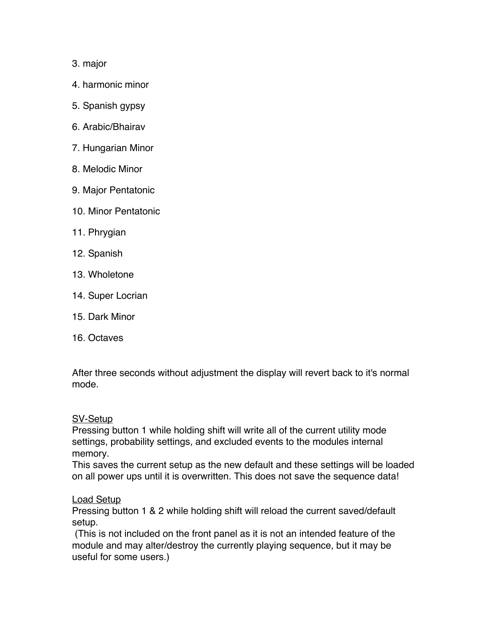### 3. major

- 4. harmonic minor
- 5. Spanish gypsy
- 6. Arabic/Bhairav
- 7. Hungarian Minor
- 8. Melodic Minor
- 9. Major Pentatonic
- 10. Minor Pentatonic
- 11. Phrygian
- 12. Spanish
- 13. Wholetone
- 14. Super Locrian
- 15. Dark Minor
- 16. Octaves

After three seconds without adjustment the display will revert back to it's normal mode.

#### SV-Setup

Pressing button 1 while holding shift will write all of the current utility mode settings, probability settings, and excluded events to the modules internal memory.

This saves the current setup as the new default and these settings will be loaded on all power ups until it is overwritten. This does not save the sequence data!

## Load Setup

Pressing button 1 & 2 while holding shift will reload the current saved/default setup.

(This is not included on the front panel as it is not an intended feature of the module and may alter/destroy the currently playing sequence, but it may be useful for some users.)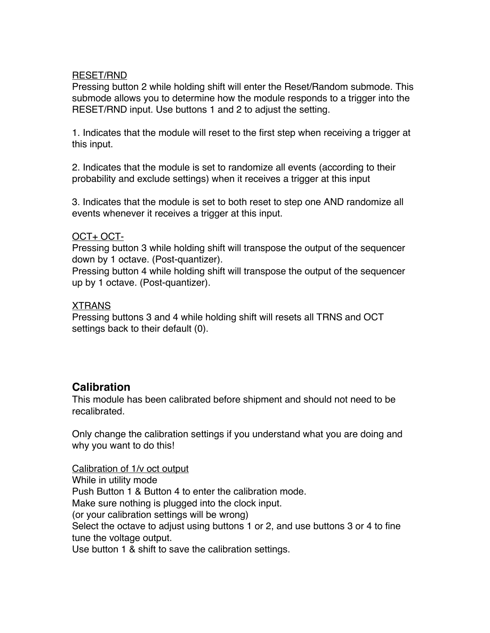#### RESET/RND

Pressing button 2 while holding shift will enter the Reset/Random submode. This submode allows you to determine how the module responds to a trigger into the RESET/RND input. Use buttons 1 and 2 to adjust the setting.

1. Indicates that the module will reset to the first step when receiving a trigger at this input.

2. Indicates that the module is set to randomize all events (according to their probability and exclude settings) when it receives a trigger at this input

3. Indicates that the module is set to both reset to step one AND randomize all events whenever it receives a trigger at this input.

#### OCT+ OCT-

Pressing button 3 while holding shift will transpose the output of the sequencer down by 1 octave. (Post-quantizer).

Pressing button 4 while holding shift will transpose the output of the sequencer up by 1 octave. (Post-quantizer).

#### XTRANS

Pressing buttons 3 and 4 while holding shift will resets all TRNS and OCT settings back to their default (0).

## **Calibration**

This module has been calibrated before shipment and should not need to be recalibrated.

Only change the calibration settings if you understand what you are doing and why you want to do this!

#### Calibration of 1/v oct output

While in utility mode Push Button 1 & Button 4 to enter the calibration mode. Make sure nothing is plugged into the clock input. (or your calibration settings will be wrong) Select the octave to adjust using buttons 1 or 2, and use buttons 3 or 4 to fine tune the voltage output. Use button 1 & shift to save the calibration settings.